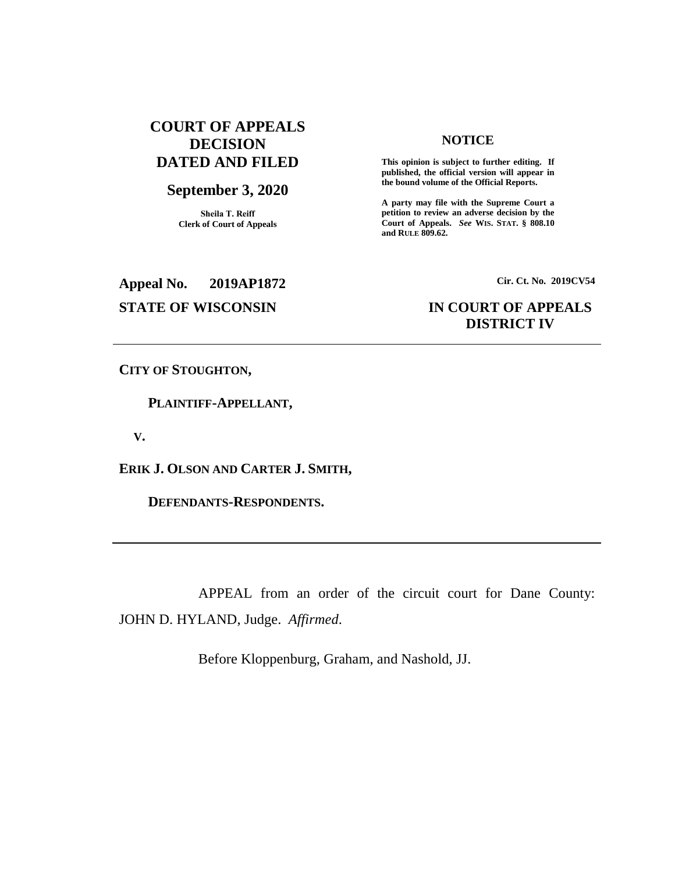# **COURT OF APPEALS DECISION DATED AND FILED**

## **September 3, 2020**

**Sheila T. Reiff Clerk of Court of Appeals**

#### **NOTICE**

**This opinion is subject to further editing. If published, the official version will appear in the bound volume of the Official Reports.** 

**A party may file with the Supreme Court a petition to review an adverse decision by the Court of Appeals.** *See* **WIS. STAT. § 808.10 and RULE 809.62.** 

**Appeal No. 2019AP1872 Cir. Ct. No. 2019CV54**

# **STATE OF WISCONSIN IN COURT OF APPEALS DISTRICT IV**

**CITY OF STOUGHTON,**

 **PLAINTIFF-APPELLANT,**

 **V.**

**ERIK J. OLSON AND CARTER J. SMITH,**

 **DEFENDANTS-RESPONDENTS.**

APPEAL from an order of the circuit court for Dane County: JOHN D. HYLAND, Judge. *Affirmed*.

Before Kloppenburg, Graham, and Nashold, JJ.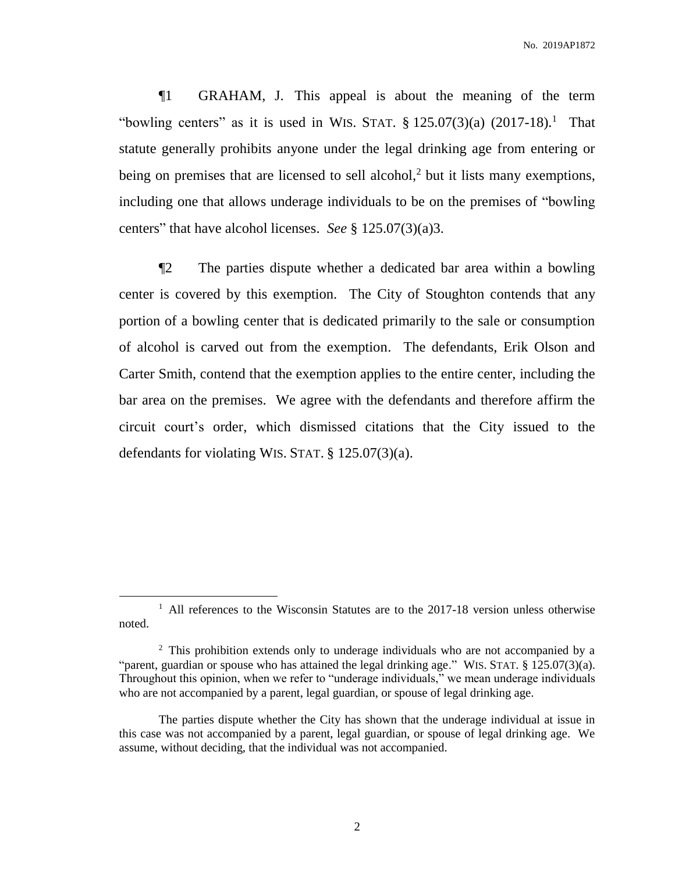¶1 GRAHAM, J. This appeal is about the meaning of the term "bowling centers" as it is used in WIS. STAT.  $\S$  125.07(3)(a) (2017-18).<sup>1</sup> That statute generally prohibits anyone under the legal drinking age from entering or being on premises that are licensed to sell alcohol,<sup>2</sup> but it lists many exemptions, including one that allows underage individuals to be on the premises of "bowling centers" that have alcohol licenses. *See* § 125.07(3)(a)3.

¶2 The parties dispute whether a dedicated bar area within a bowling center is covered by this exemption. The City of Stoughton contends that any portion of a bowling center that is dedicated primarily to the sale or consumption of alcohol is carved out from the exemption. The defendants, Erik Olson and Carter Smith, contend that the exemption applies to the entire center, including the bar area on the premises. We agree with the defendants and therefore affirm the circuit court's order, which dismissed citations that the City issued to the defendants for violating WIS. STAT. § 125.07(3)(a).

<sup>&</sup>lt;sup>1</sup> All references to the Wisconsin Statutes are to the 2017-18 version unless otherwise noted.

<sup>&</sup>lt;sup>2</sup> This prohibition extends only to underage individuals who are not accompanied by a "parent, guardian or spouse who has attained the legal drinking age." WIS. STAT. § 125.07(3)(a). Throughout this opinion, when we refer to "underage individuals," we mean underage individuals who are not accompanied by a parent, legal guardian, or spouse of legal drinking age.

The parties dispute whether the City has shown that the underage individual at issue in this case was not accompanied by a parent, legal guardian, or spouse of legal drinking age. We assume, without deciding, that the individual was not accompanied.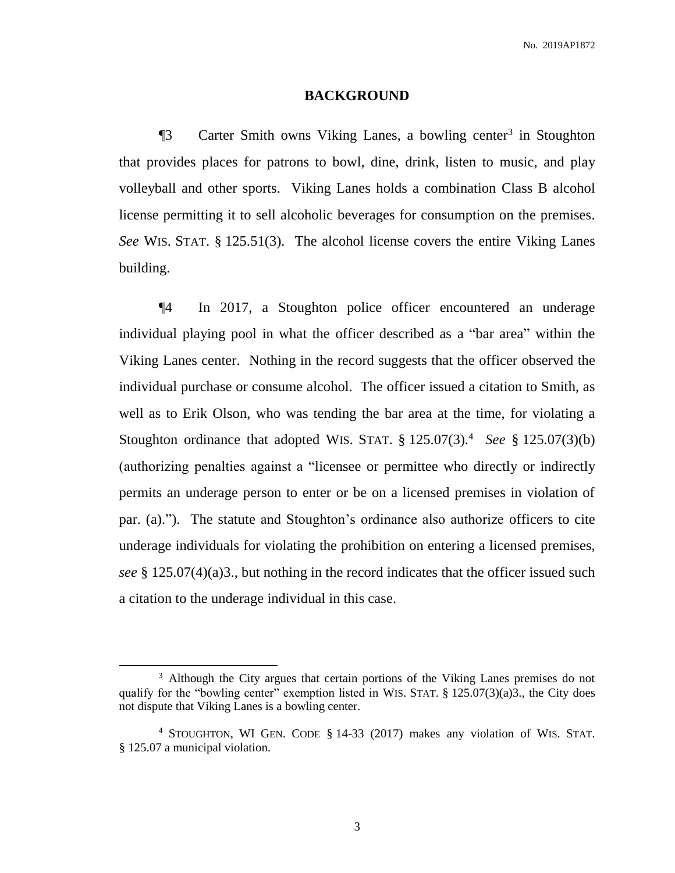#### **BACKGROUND**

**The Suite Carter Smith owns Viking Lanes, a bowling center<sup>3</sup> in Stoughton** that provides places for patrons to bowl, dine, drink, listen to music, and play volleyball and other sports. Viking Lanes holds a combination Class B alcohol license permitting it to sell alcoholic beverages for consumption on the premises. *See* WIS. STAT. § 125.51(3). The alcohol license covers the entire Viking Lanes building.

¶4 In 2017, a Stoughton police officer encountered an underage individual playing pool in what the officer described as a "bar area" within the Viking Lanes center. Nothing in the record suggests that the officer observed the individual purchase or consume alcohol. The officer issued a citation to Smith, as well as to Erik Olson, who was tending the bar area at the time, for violating a Stoughton ordinance that adopted WIS. STAT. § 125.07(3). <sup>4</sup> *See* § 125.07(3)(b) (authorizing penalties against a "licensee or permittee who directly or indirectly permits an underage person to enter or be on a licensed premises in violation of par. (a)."). The statute and Stoughton's ordinance also authorize officers to cite underage individuals for violating the prohibition on entering a licensed premises, *see* § 125.07(4)(a)3., but nothing in the record indicates that the officer issued such a citation to the underage individual in this case.

<sup>&</sup>lt;sup>3</sup> Although the City argues that certain portions of the Viking Lanes premises do not qualify for the "bowling center" exemption listed in WIS. STAT. § 125.07(3)(a)3., the City does not dispute that Viking Lanes is a bowling center.

<sup>4</sup> STOUGHTON, WI GEN. CODE § 14-33 (2017) makes any violation of WIS. STAT. § 125.07 a municipal violation.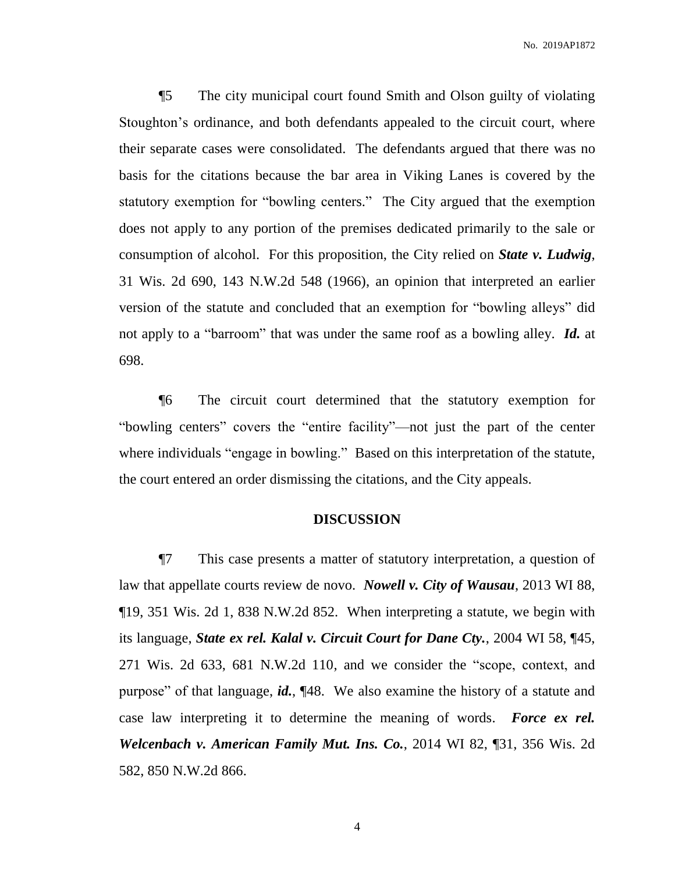¶5 The city municipal court found Smith and Olson guilty of violating Stoughton's ordinance, and both defendants appealed to the circuit court, where their separate cases were consolidated. The defendants argued that there was no basis for the citations because the bar area in Viking Lanes is covered by the statutory exemption for "bowling centers." The City argued that the exemption does not apply to any portion of the premises dedicated primarily to the sale or consumption of alcohol. For this proposition, the City relied on *State v. Ludwig*, 31 Wis. 2d 690, 143 N.W.2d 548 (1966), an opinion that interpreted an earlier version of the statute and concluded that an exemption for "bowling alleys" did not apply to a "barroom" that was under the same roof as a bowling alley. *Id.* at 698.

¶6 The circuit court determined that the statutory exemption for "bowling centers" covers the "entire facility"—not just the part of the center where individuals "engage in bowling." Based on this interpretation of the statute, the court entered an order dismissing the citations, and the City appeals.

### **DISCUSSION**

¶7 This case presents a matter of statutory interpretation, a question of law that appellate courts review de novo. *Nowell v. City of Wausau*, 2013 WI 88, ¶19, 351 Wis. 2d 1, 838 N.W.2d 852. When interpreting a statute, we begin with its language, *State ex rel. Kalal v. Circuit Court for Dane Cty.*, 2004 WI 58, ¶45, 271 Wis. 2d 633, 681 N.W.2d 110, and we consider the "scope, context, and purpose" of that language, *id.*, ¶48. We also examine the history of a statute and case law interpreting it to determine the meaning of words. *Force ex rel. Welcenbach v. American Family Mut. Ins. Co.*, 2014 WI 82, ¶31, 356 Wis. 2d 582, 850 N.W.2d 866.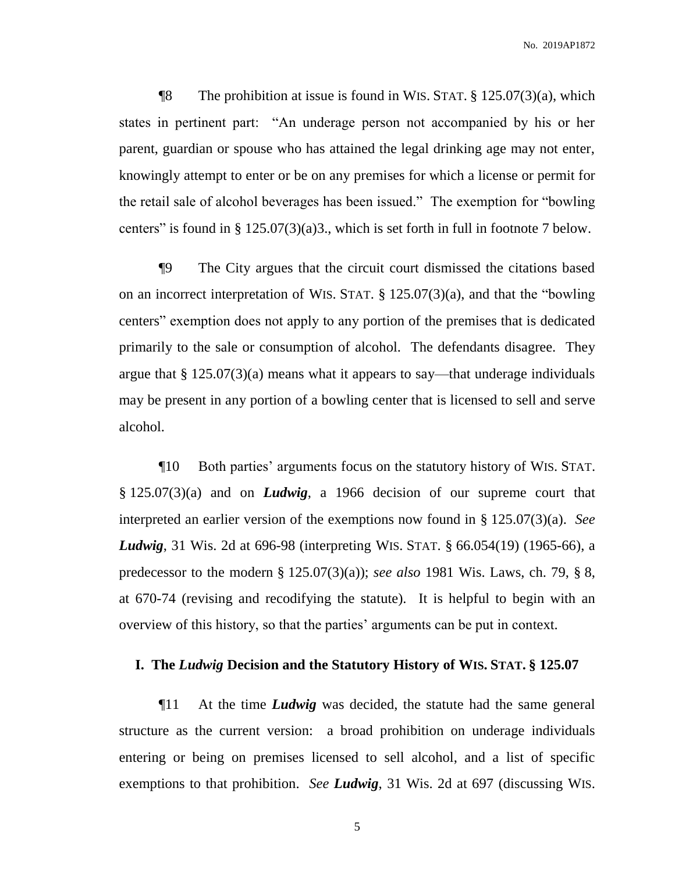**The prohibition at issue is found in WIS. STAT.**  $\S$  125.07(3)(a), which states in pertinent part: "An underage person not accompanied by his or her parent, guardian or spouse who has attained the legal drinking age may not enter, knowingly attempt to enter or be on any premises for which a license or permit for the retail sale of alcohol beverages has been issued." The exemption for "bowling centers" is found in  $\S 125.07(3)(a)3$ ., which is set forth in full in footnote 7 below.

¶9 The City argues that the circuit court dismissed the citations based on an incorrect interpretation of WIS. STAT. § 125.07(3)(a), and that the "bowling centers" exemption does not apply to any portion of the premises that is dedicated primarily to the sale or consumption of alcohol. The defendants disagree. They argue that § 125.07(3)(a) means what it appears to say—that underage individuals may be present in any portion of a bowling center that is licensed to sell and serve alcohol.

¶10 Both parties' arguments focus on the statutory history of WIS. STAT. § 125.07(3)(a) and on *Ludwig*, a 1966 decision of our supreme court that interpreted an earlier version of the exemptions now found in § 125.07(3)(a). *See Ludwig*, 31 Wis. 2d at 696-98 (interpreting WIS. STAT. § 66.054(19) (1965-66), a predecessor to the modern § 125.07(3)(a)); *see also* 1981 Wis. Laws, ch. 79, § 8, at 670-74 (revising and recodifying the statute). It is helpful to begin with an overview of this history, so that the parties' arguments can be put in context.

#### **I. The** *Ludwig* **Decision and the Statutory History of WIS. STAT. § 125.07**

¶11 At the time *Ludwig* was decided, the statute had the same general structure as the current version: a broad prohibition on underage individuals entering or being on premises licensed to sell alcohol, and a list of specific exemptions to that prohibition. *See Ludwig*, 31 Wis. 2d at 697 (discussing WIS.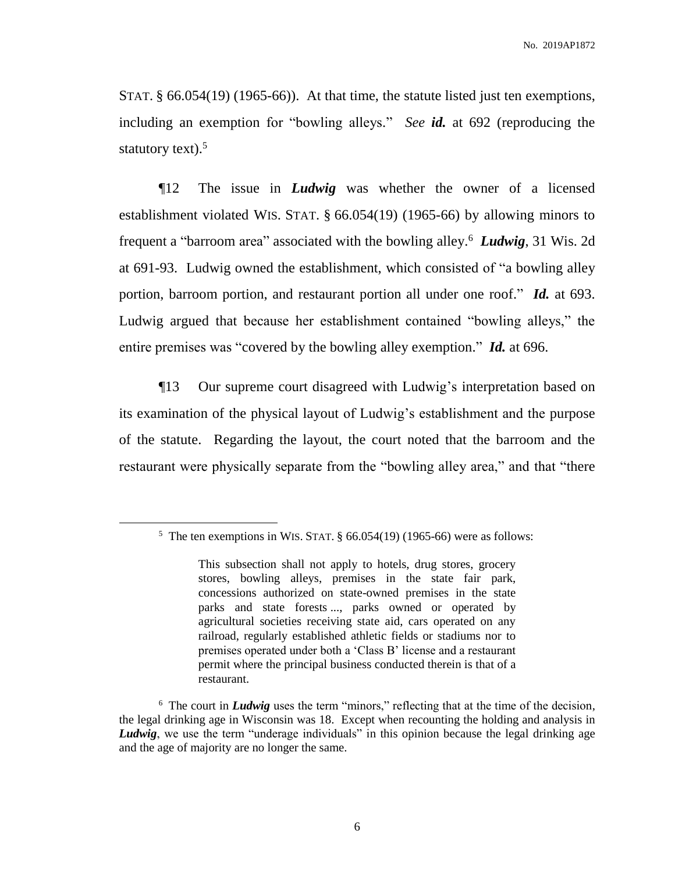STAT. § 66.054(19) (1965-66)). At that time, the statute listed just ten exemptions, including an exemption for "bowling alleys." *See id.* at 692 (reproducing the statutory text). $5$ 

¶12 The issue in *Ludwig* was whether the owner of a licensed establishment violated WIS. STAT. § 66.054(19) (1965-66) by allowing minors to frequent a "barroom area" associated with the bowling alley.<sup>6</sup> *Ludwig*, 31 Wis. 2d at 691-93. Ludwig owned the establishment, which consisted of "a bowling alley portion, barroom portion, and restaurant portion all under one roof." *Id.* at 693. Ludwig argued that because her establishment contained "bowling alleys," the entire premises was "covered by the bowling alley exemption." *Id.* at 696.

¶13 Our supreme court disagreed with Ludwig's interpretation based on its examination of the physical layout of Ludwig's establishment and the purpose of the statute. Regarding the layout, the court noted that the barroom and the restaurant were physically separate from the "bowling alley area," and that "there

<sup>&</sup>lt;sup>5</sup> The ten exemptions in WIS. STAT.  $\S$  66.054(19) (1965-66) were as follows:

This subsection shall not apply to hotels, drug stores, grocery stores, bowling alleys, premises in the state fair park, concessions authorized on state-owned premises in the state parks and state forests ..., parks owned or operated by agricultural societies receiving state aid, cars operated on any railroad, regularly established athletic fields or stadiums nor to premises operated under both a 'Class B' license and a restaurant permit where the principal business conducted therein is that of a restaurant.

<sup>&</sup>lt;sup>6</sup> The court in *Ludwig* uses the term "minors," reflecting that at the time of the decision, the legal drinking age in Wisconsin was 18. Except when recounting the holding and analysis in *Ludwig*, we use the term "underage individuals" in this opinion because the legal drinking age and the age of majority are no longer the same.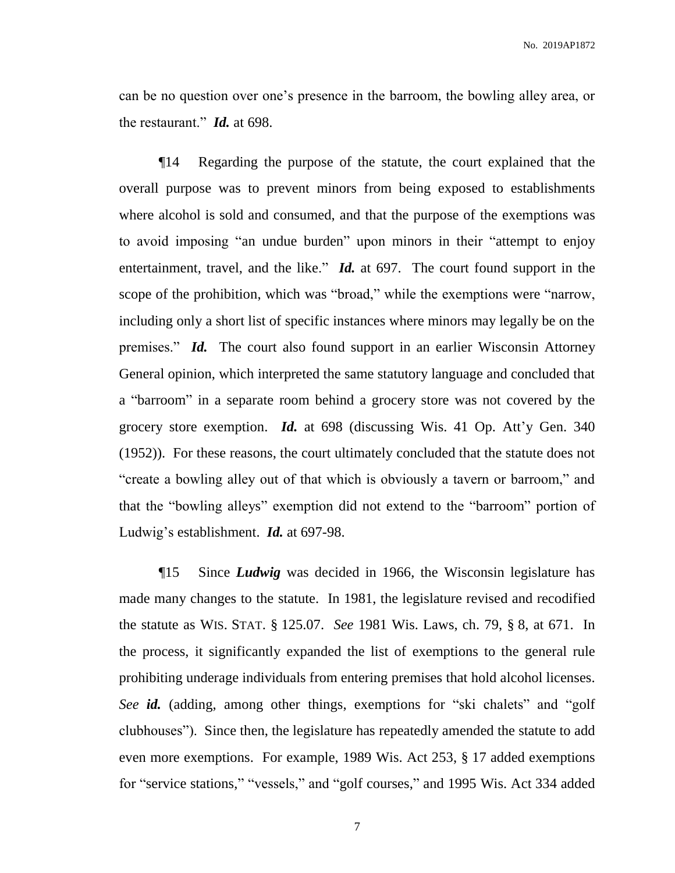can be no question over one's presence in the barroom, the bowling alley area, or the restaurant." *Id.* at 698.

¶14 Regarding the purpose of the statute, the court explained that the overall purpose was to prevent minors from being exposed to establishments where alcohol is sold and consumed, and that the purpose of the exemptions was to avoid imposing "an undue burden" upon minors in their "attempt to enjoy entertainment, travel, and the like." *Id.* at 697. The court found support in the scope of the prohibition, which was "broad," while the exemptions were "narrow, including only a short list of specific instances where minors may legally be on the premises." *Id.* The court also found support in an earlier Wisconsin Attorney General opinion, which interpreted the same statutory language and concluded that a "barroom" in a separate room behind a grocery store was not covered by the grocery store exemption. *Id.* at 698 (discussing Wis. 41 Op. Att'y Gen. 340 (1952)). For these reasons, the court ultimately concluded that the statute does not "create a bowling alley out of that which is obviously a tavern or barroom," and that the "bowling alleys" exemption did not extend to the "barroom" portion of Ludwig's establishment. *Id.* at 697-98.

¶15 Since *Ludwig* was decided in 1966, the Wisconsin legislature has made many changes to the statute. In 1981, the legislature revised and recodified the statute as WIS. STAT. § 125.07. *See* 1981 Wis. Laws, ch. 79, § 8, at 671. In the process, it significantly expanded the list of exemptions to the general rule prohibiting underage individuals from entering premises that hold alcohol licenses. *See id.* (adding, among other things, exemptions for "ski chalets" and "golf clubhouses"). Since then, the legislature has repeatedly amended the statute to add even more exemptions. For example, 1989 Wis. Act 253, § 17 added exemptions for "service stations," "vessels," and "golf courses," and 1995 Wis. Act 334 added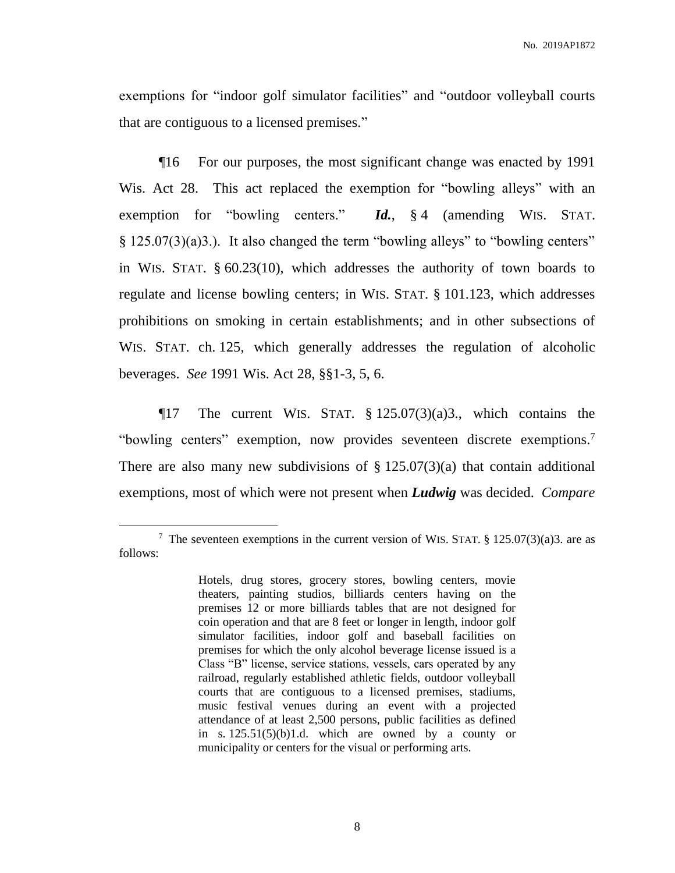exemptions for "indoor golf simulator facilities" and "outdoor volleyball courts that are contiguous to a licensed premises."

¶16 For our purposes, the most significant change was enacted by 1991 Wis. Act 28. This act replaced the exemption for "bowling alleys" with an exemption for "bowling centers." *Id.*, § 4 (amending WIS. STAT. § 125.07(3)(a)3.). It also changed the term "bowling alleys" to "bowling centers" in WIS. STAT. § 60.23(10), which addresses the authority of town boards to regulate and license bowling centers; in WIS. STAT. § 101.123, which addresses prohibitions on smoking in certain establishments; and in other subsections of WIS. STAT. ch. 125, which generally addresses the regulation of alcoholic beverages. *See* 1991 Wis. Act 28, §§1-3, 5, 6.

 $\P$ 17 The current WIS. STAT. § 125.07(3)(a)3., which contains the "bowling centers" exemption, now provides seventeen discrete exemptions.<sup>7</sup> There are also many new subdivisions of  $\S 125.07(3)(a)$  that contain additional exemptions, most of which were not present when *Ludwig* was decided. *Compare*

<sup>&</sup>lt;sup>7</sup> The seventeen exemptions in the current version of WIS. STAT. § 125.07(3)(a)3. are as follows:

Hotels, drug stores, grocery stores, bowling centers, movie theaters, painting studios, billiards centers having on the premises 12 or more billiards tables that are not designed for coin operation and that are 8 feet or longer in length, indoor golf simulator facilities, indoor golf and baseball facilities on premises for which the only alcohol beverage license issued is a Class "B" license, service stations, vessels, cars operated by any railroad, regularly established athletic fields, outdoor volleyball courts that are contiguous to a licensed premises, stadiums, music festival venues during an event with a projected attendance of at least 2,500 persons, public facilities as defined in s.  $125.51(5)(b)1.d.$  which are owned by a county or municipality or centers for the visual or performing arts.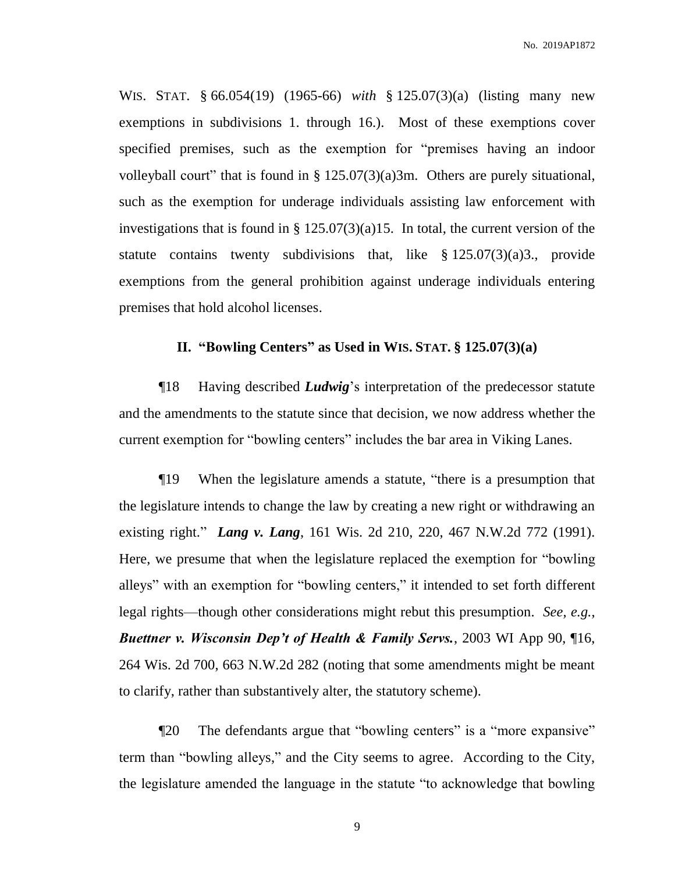WIS. STAT. § 66.054(19) (1965-66) *with* § 125.07(3)(a) (listing many new exemptions in subdivisions 1. through 16.). Most of these exemptions cover specified premises, such as the exemption for "premises having an indoor volleyball court" that is found in  $\S 125.07(3)(a)3m$ . Others are purely situational, such as the exemption for underage individuals assisting law enforcement with investigations that is found in  $\S 125.07(3)(a)15$ . In total, the current version of the statute contains twenty subdivisions that, like  $\S 125.07(3)(a)3$ ., provide exemptions from the general prohibition against underage individuals entering premises that hold alcohol licenses.

## **II. "Bowling Centers" as Used in WIS. STAT. § 125.07(3)(a)**

¶18 Having described *Ludwig*'s interpretation of the predecessor statute and the amendments to the statute since that decision, we now address whether the current exemption for "bowling centers" includes the bar area in Viking Lanes.

¶19 When the legislature amends a statute, "there is a presumption that the legislature intends to change the law by creating a new right or withdrawing an existing right." *Lang v. Lang*, 161 Wis. 2d 210, 220, 467 N.W.2d 772 (1991). Here, we presume that when the legislature replaced the exemption for "bowling alleys" with an exemption for "bowling centers," it intended to set forth different legal rights—though other considerations might rebut this presumption. *See, e.g.*, *Buettner v. Wisconsin Dep't of Health & Family Servs.*, 2003 WI App 90, ¶16, 264 Wis. 2d 700, 663 N.W.2d 282 (noting that some amendments might be meant to clarify, rather than substantively alter, the statutory scheme).

¶20 The defendants argue that "bowling centers" is a "more expansive" term than "bowling alleys," and the City seems to agree. According to the City, the legislature amended the language in the statute "to acknowledge that bowling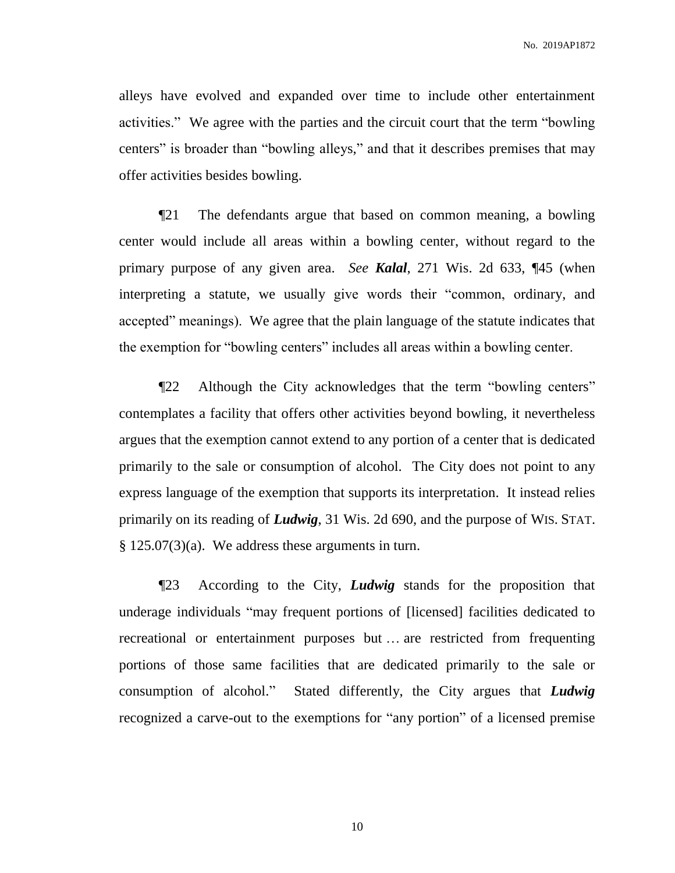alleys have evolved and expanded over time to include other entertainment activities." We agree with the parties and the circuit court that the term "bowling centers" is broader than "bowling alleys," and that it describes premises that may offer activities besides bowling.

¶21 The defendants argue that based on common meaning, a bowling center would include all areas within a bowling center, without regard to the primary purpose of any given area. *See Kalal*, 271 Wis. 2d 633, ¶45 (when interpreting a statute, we usually give words their "common, ordinary, and accepted" meanings). We agree that the plain language of the statute indicates that the exemption for "bowling centers" includes all areas within a bowling center.

¶22 Although the City acknowledges that the term "bowling centers" contemplates a facility that offers other activities beyond bowling, it nevertheless argues that the exemption cannot extend to any portion of a center that is dedicated primarily to the sale or consumption of alcohol. The City does not point to any express language of the exemption that supports its interpretation. It instead relies primarily on its reading of *Ludwig*, 31 Wis. 2d 690, and the purpose of WIS. STAT.  $§ 125.07(3)(a)$ . We address these arguments in turn.

¶23 According to the City, *Ludwig* stands for the proposition that underage individuals "may frequent portions of [licensed] facilities dedicated to recreational or entertainment purposes but … are restricted from frequenting portions of those same facilities that are dedicated primarily to the sale or consumption of alcohol." Stated differently, the City argues that *Ludwig* recognized a carve-out to the exemptions for "any portion" of a licensed premise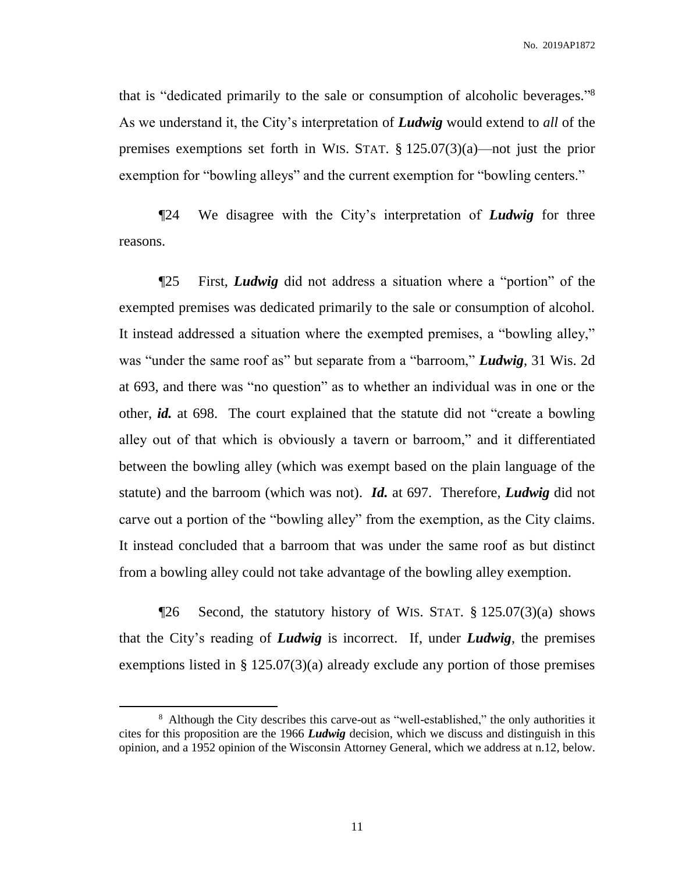No. 2019AP1872

that is "dedicated primarily to the sale or consumption of alcoholic beverages." 8 As we understand it, the City's interpretation of *Ludwig* would extend to *all* of the premises exemptions set forth in WIS. STAT. § 125.07(3)(a)—not just the prior exemption for "bowling alleys" and the current exemption for "bowling centers."

¶24 We disagree with the City's interpretation of *Ludwig* for three reasons.

¶25 First, *Ludwig* did not address a situation where a "portion" of the exempted premises was dedicated primarily to the sale or consumption of alcohol. It instead addressed a situation where the exempted premises, a "bowling alley," was "under the same roof as" but separate from a "barroom," *Ludwig*, 31 Wis. 2d at 693, and there was "no question" as to whether an individual was in one or the other, *id.* at 698. The court explained that the statute did not "create a bowling alley out of that which is obviously a tavern or barroom," and it differentiated between the bowling alley (which was exempt based on the plain language of the statute) and the barroom (which was not). *Id.* at 697. Therefore, *Ludwig* did not carve out a portion of the "bowling alley" from the exemption, as the City claims. It instead concluded that a barroom that was under the same roof as but distinct from a bowling alley could not take advantage of the bowling alley exemption.

 $\P$ 26 Second, the statutory history of WIS. STAT. § 125.07(3)(a) shows that the City's reading of *Ludwig* is incorrect. If, under *Ludwig*, the premises exemptions listed in § 125.07(3)(a) already exclude any portion of those premises

<sup>&</sup>lt;sup>8</sup> Although the City describes this carve-out as "well-established," the only authorities it cites for this proposition are the 1966 *Ludwig* decision, which we discuss and distinguish in this opinion, and a 1952 opinion of the Wisconsin Attorney General, which we address at n.12, below.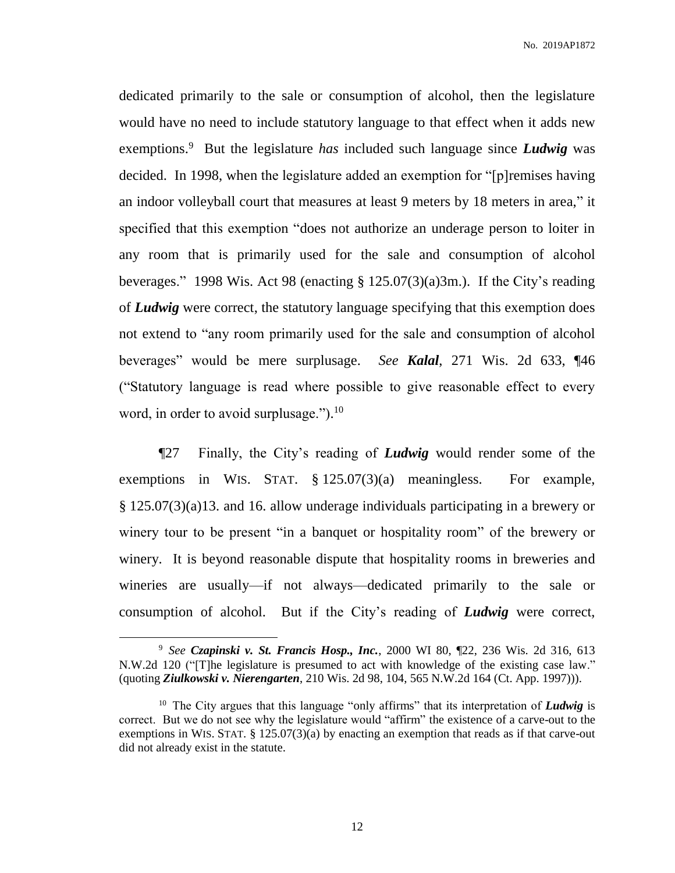dedicated primarily to the sale or consumption of alcohol, then the legislature would have no need to include statutory language to that effect when it adds new exemptions.<sup>9</sup> But the legislature *has* included such language since *Ludwig* was decided. In 1998, when the legislature added an exemption for "[p]remises having an indoor volleyball court that measures at least 9 meters by 18 meters in area," it specified that this exemption "does not authorize an underage person to loiter in any room that is primarily used for the sale and consumption of alcohol beverages." 1998 Wis. Act 98 (enacting § 125.07(3)(a)3m.). If the City's reading of *Ludwig* were correct, the statutory language specifying that this exemption does not extend to "any room primarily used for the sale and consumption of alcohol beverages" would be mere surplusage. *See Kalal*, 271 Wis. 2d 633, ¶46 ("Statutory language is read where possible to give reasonable effect to every word, in order to avoid surplusage.").<sup>10</sup>

¶27 Finally, the City's reading of *Ludwig* would render some of the exemptions in WIS. STAT. § 125.07(3)(a) meaningless. For example, § 125.07(3)(a)13. and 16. allow underage individuals participating in a brewery or winery tour to be present "in a banquet or hospitality room" of the brewery or winery. It is beyond reasonable dispute that hospitality rooms in breweries and wineries are usually—if not always—dedicated primarily to the sale or consumption of alcohol. But if the City's reading of *Ludwig* were correct,

<sup>9</sup> *See Czapinski v. St. Francis Hosp., Inc.*, 2000 WI 80, ¶22, 236 Wis. 2d 316, 613 N.W.2d 120 ("[T]he legislature is presumed to act with knowledge of the existing case law." (quoting *Ziulkowski v. Nierengarten*, 210 Wis. 2d 98, 104, 565 N.W.2d 164 (Ct. App. 1997))).

<sup>&</sup>lt;sup>10</sup> The City argues that this language "only affirms" that its interpretation of *Ludwig* is correct. But we do not see why the legislature would "affirm" the existence of a carve-out to the exemptions in WIS. STAT. § 125.07(3)(a) by enacting an exemption that reads as if that carve-out did not already exist in the statute.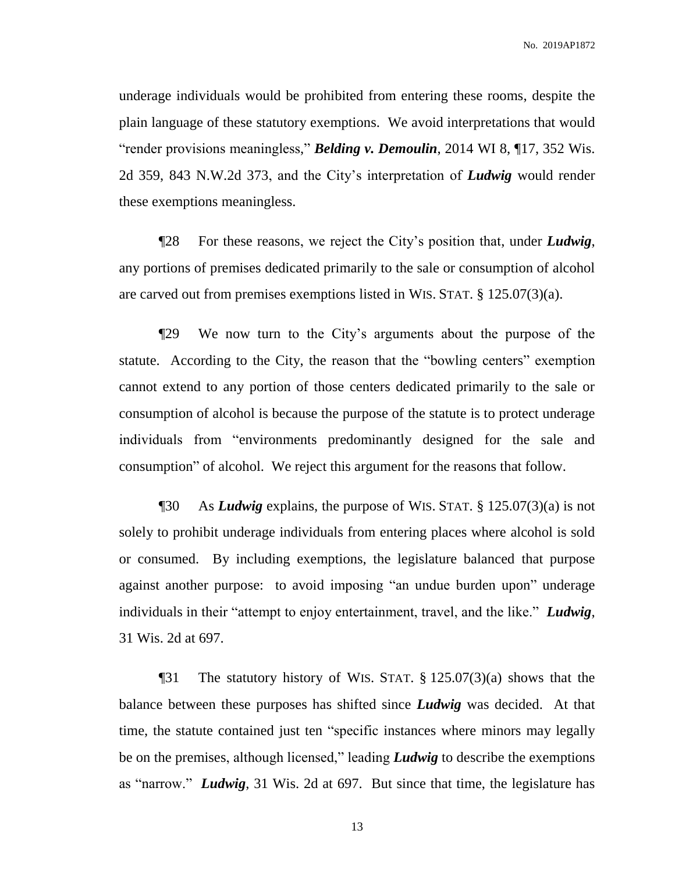underage individuals would be prohibited from entering these rooms, despite the plain language of these statutory exemptions. We avoid interpretations that would "render provisions meaningless," *Belding v. Demoulin*, 2014 WI 8, ¶17, 352 Wis. 2d 359, 843 N.W.2d 373, and the City's interpretation of *Ludwig* would render these exemptions meaningless.

¶28 For these reasons, we reject the City's position that, under *Ludwig*, any portions of premises dedicated primarily to the sale or consumption of alcohol are carved out from premises exemptions listed in WIS. STAT. § 125.07(3)(a).

¶29 We now turn to the City's arguments about the purpose of the statute. According to the City, the reason that the "bowling centers" exemption cannot extend to any portion of those centers dedicated primarily to the sale or consumption of alcohol is because the purpose of the statute is to protect underage individuals from "environments predominantly designed for the sale and consumption" of alcohol. We reject this argument for the reasons that follow.

¶30 As *Ludwig* explains, the purpose of WIS. STAT. § 125.07(3)(a) is not solely to prohibit underage individuals from entering places where alcohol is sold or consumed. By including exemptions, the legislature balanced that purpose against another purpose: to avoid imposing "an undue burden upon" underage individuals in their "attempt to enjoy entertainment, travel, and the like." *Ludwig*, 31 Wis. 2d at 697.

¶31 The statutory history of WIS. STAT. § 125.07(3)(a) shows that the balance between these purposes has shifted since *Ludwig* was decided. At that time, the statute contained just ten "specific instances where minors may legally be on the premises, although licensed," leading *Ludwig* to describe the exemptions as "narrow." *Ludwig*, 31 Wis. 2d at 697. But since that time, the legislature has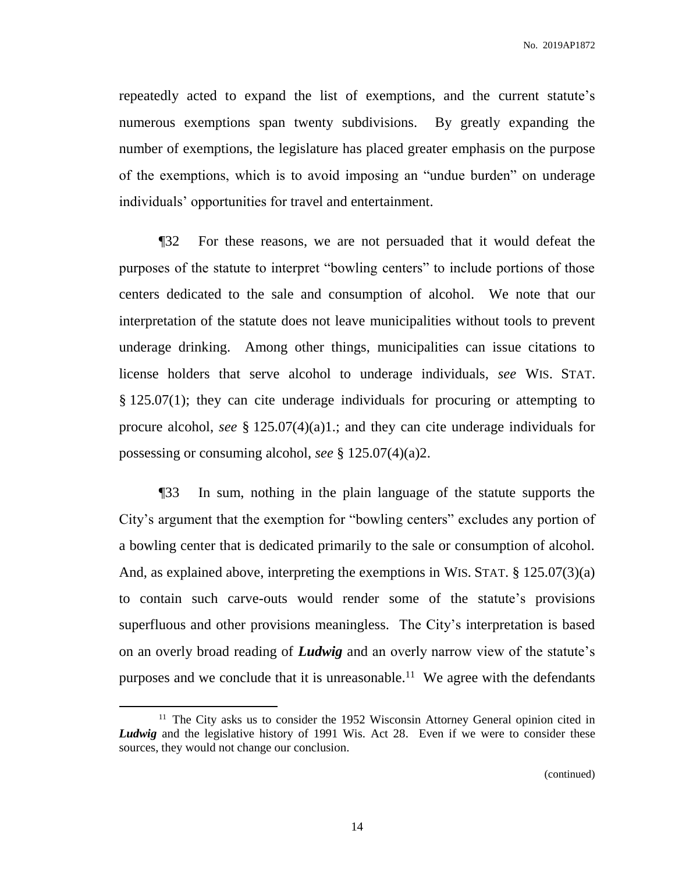repeatedly acted to expand the list of exemptions, and the current statute's numerous exemptions span twenty subdivisions. By greatly expanding the number of exemptions, the legislature has placed greater emphasis on the purpose of the exemptions, which is to avoid imposing an "undue burden" on underage individuals' opportunities for travel and entertainment.

¶32 For these reasons, we are not persuaded that it would defeat the purposes of the statute to interpret "bowling centers" to include portions of those centers dedicated to the sale and consumption of alcohol. We note that our interpretation of the statute does not leave municipalities without tools to prevent underage drinking. Among other things, municipalities can issue citations to license holders that serve alcohol to underage individuals, *see* WIS. STAT. § 125.07(1); they can cite underage individuals for procuring or attempting to procure alcohol, *see* § 125.07(4)(a)1.; and they can cite underage individuals for possessing or consuming alcohol, *see* § 125.07(4)(a)2.

¶33 In sum, nothing in the plain language of the statute supports the City's argument that the exemption for "bowling centers" excludes any portion of a bowling center that is dedicated primarily to the sale or consumption of alcohol. And, as explained above, interpreting the exemptions in WIS. STAT. § 125.07(3)(a) to contain such carve-outs would render some of the statute's provisions superfluous and other provisions meaningless. The City's interpretation is based on an overly broad reading of *Ludwig* and an overly narrow view of the statute's purposes and we conclude that it is unreasonable.<sup>11</sup> We agree with the defendants

 $\overline{a}$ 

<sup>&</sup>lt;sup>11</sup> The City asks us to consider the 1952 Wisconsin Attorney General opinion cited in *Ludwig* and the legislative history of 1991 Wis. Act 28. Even if we were to consider these sources, they would not change our conclusion.